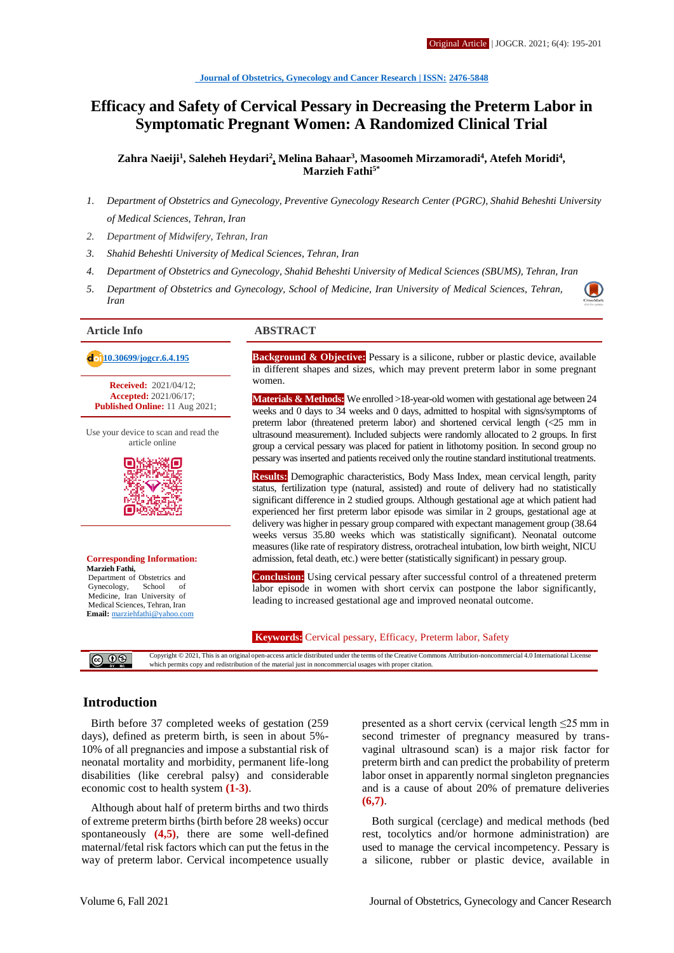# **Efficacy and Safety of Cervical Pessary in Decreasing the Preterm Labor in Symptomatic Pregnant Women: A Randomized Clinical Trial**

**Zahra Naeiji<sup>1</sup> , Saleheh Heydari<sup>2</sup> , Melina Bahaar<sup>3</sup> , Masoomeh Mirzamoradi<sup>4</sup> , Atefeh Moridi<sup>4</sup> , Marzieh Fathi5\***

- *1. Department of Obstetrics and Gynecology, Preventive Gynecology Research Center (PGRC), Shahid Beheshti University of Medical Sciences, Tehran, Iran*
- *2. Department of Midwifery, Tehran, Iran*
- *3. Shahid Beheshti University of Medical Sciences, Tehran, Iran*
- *4. Department of Obstetrics and Gynecology, Shahid Beheshti University of Medical Sciences (SBUMS), Tehran, Iran*
- *5. Department of Obstetrics and Gynecology, School of Medicine, Iran University of Medical Sciences, Tehran, Iran*

**Received:** 2021/04/12; **Accepted:** 2021/06/17; **Published Online:** 11 Aug 2021;

Use your device to scan and read the article online



#### **Corresponding Information: Marzieh Fathi,** Department of Obstetrics and<br>Gynecology, School of Gynecology, Medicine, Iran University of Medical Sciences, Tehran, Iran **Email:** [marziehfathi@yahoo.com](mailto:marziehfathi@yahoo.com)

#### **Article Info ABSTRACT**

 **[10.30699/jogcr.6.4.195](http://dx.doi.org/10.30699/jogcr.6.4.195) Background & Objective:** Pessary is a silicone, rubber or plastic device, available in different shapes and sizes, which may prevent preterm labor in some pregnant women.

> **Materials & Methods:** We enrolled >18-year-old women with gestational age between 24 weeks and 0 days to 34 weeks and 0 days, admitted to hospital with signs/symptoms of preterm labor (threatened preterm labor) and shortened cervical length (<25 mm in ultrasound measurement). Included subjects were randomly allocated to 2 groups. In first group a cervical pessary was placed for patient in lithotomy position. In second group no pessary was inserted and patients received only the routine standard institutional treatments.

> **Results:** Demographic characteristics, Body Mass Index, mean cervical length, parity status, fertilization type (natural, assisted) and route of delivery had no statistically significant difference in 2 studied groups. Although gestational age at which patient had experienced her first preterm labor episode was similar in 2 groups, gestational age at delivery was higher in pessary group compared with expectant management group (38.64 weeks versus 35.80 weeks which was statistically significant). Neonatal outcome measures (like rate of respiratory distress, orotracheal intubation, low birth weight, NICU admission, fetal death, etc.) were better (statistically significant) in pessary group.

> **Conclusion:** Using cervical pessary after successful control of a threatened preterm labor episode in women with short cervix can postpone the labor significantly, leading to increased gestational age and improved neonatal outcome.

#### **Keywords:** Cervical pessary, Efficacy, Preterm labor, Safety

Copyright © 2021, This is an original open-access article distributed under the terms of the Creative Commons Attribution-noncommercial 4.0 International License @ ⊙⊛ which permits copy and redistribution of the material just in noncommercial usages with proper citation.

## **Introduction**

Birth before 37 completed weeks of gestation (259 days), defined as preterm birth, is seen in about 5%- 10% of all pregnancies and impose a substantial risk of neonatal mortality and morbidity, permanent life-long disabilities (like cerebral palsy) and considerable economic cost to health system **(1-3)**.

Although about half of preterm births and two thirds of extreme preterm births (birth before 28 weeks) occur spontaneously **(4,5)**, there are some well-defined maternal/fetal risk factors which can put the fetus in the way of preterm labor. Cervical incompetence usually

presented as a short cervix (cervical length ≤25 mm in second trimester of pregnancy measured by transvaginal ultrasound scan) is a major risk factor for preterm birth and can predict the probability of preterm labor onset in apparently normal singleton pregnancies and is a cause of about 20% of premature deliveries **(6,7)**.

Both surgical (cerclage) and medical methods (bed rest, tocolytics and/or hormone administration) are used to manage the cervical incompetency. Pessary is a silicone, rubber or plastic device, available in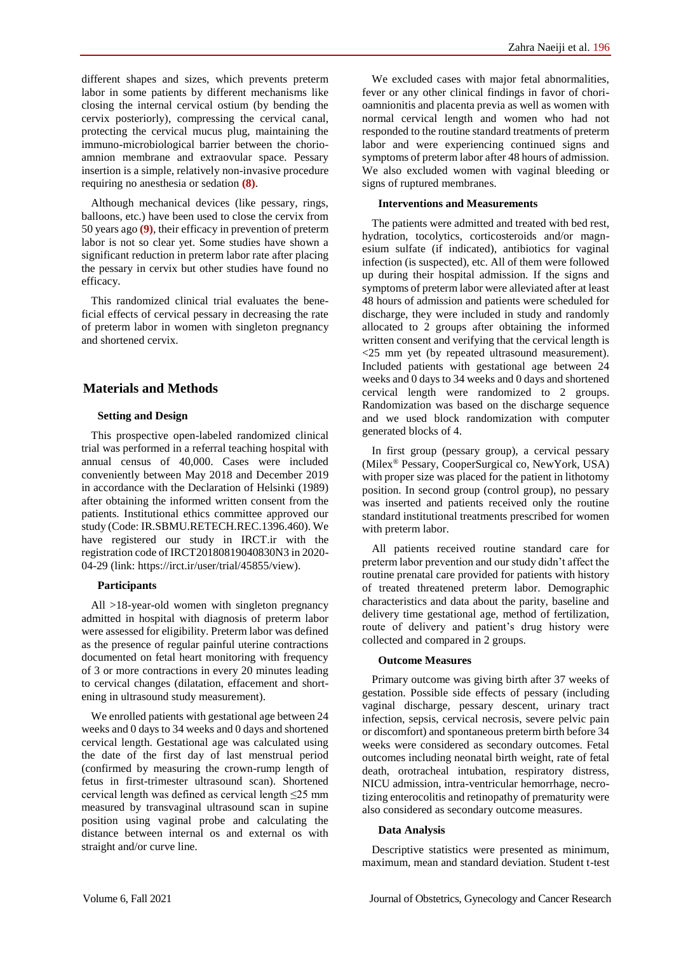different shapes and sizes, which prevents preterm labor in some patients by different mechanisms like closing the internal cervical ostium (by bending the cervix posteriorly), compressing the cervical canal, protecting the cervical mucus plug, maintaining the immuno-microbiological barrier between the chorioamnion membrane and extraovular space. Pessary insertion is a simple, relatively non-invasive procedure requiring no anesthesia or sedation **(8)**.

Although mechanical devices (like pessary, rings, balloons, etc.) have been used to close the cervix from 50 years ago **(9)**, their efficacy in prevention of preterm labor is not so clear yet. Some studies have shown a significant reduction in preterm labor rate after placing the pessary in cervix but other studies have found no efficacy.

This randomized clinical trial evaluates the beneficial effects of cervical pessary in decreasing the rate of preterm labor in women with singleton pregnancy and shortened cervix.

# **Materials and Methods**

#### **Setting and Design**

This prospective open-labeled randomized clinical trial was performed in a referral teaching hospital with annual census of 40,000. Cases were included conveniently between May 2018 and December 2019 in accordance with the Declaration of Helsinki (1989) after obtaining the informed written consent from the patients. Institutional ethics committee approved our study (Code: IR.SBMU.RETECH.REC.1396.460). We have registered our study in IRCT.ir with the registration code of IRCT20180819040830N3 in 2020- 04-29 (link: https://irct.ir/user/trial/45855/view).

#### **Participants**

All >18-year-old women with singleton pregnancy admitted in hospital with diagnosis of preterm labor were assessed for eligibility. Preterm labor was defined as the presence of regular painful uterine contractions documented on fetal heart monitoring with frequency of 3 or more contractions in every 20 minutes leading to cervical changes (dilatation, effacement and shortening in ultrasound study measurement).

We enrolled patients with gestational age between 24 weeks and 0 days to 34 weeks and 0 days and shortened cervical length. Gestational age was calculated using the date of the first day of last menstrual period (confirmed by measuring the crown-rump length of fetus in first-trimester ultrasound scan). Shortened cervical length was defined as cervical length ≤25 mm measured by transvaginal ultrasound scan in supine position using vaginal probe and calculating the distance between internal os and external os with straight and/or curve line.

We excluded cases with major fetal abnormalities, fever or any other clinical findings in favor of chorioamnionitis and placenta previa as well as women with normal cervical length and women who had not responded to the routine standard treatments of preterm labor and were experiencing continued signs and symptoms of preterm labor after 48 hours of admission. We also excluded women with vaginal bleeding or signs of ruptured membranes.

#### **Interventions and Measurements**

The patients were admitted and treated with bed rest, hydration, tocolytics, corticosteroids and/or magnesium sulfate (if indicated), antibiotics for vaginal infection (is suspected), etc. All of them were followed up during their hospital admission. If the signs and symptoms of preterm labor were alleviated after at least 48 hours of admission and patients were scheduled for discharge, they were included in study and randomly allocated to 2 groups after obtaining the informed written consent and verifying that the cervical length is <25 mm yet (by repeated ultrasound measurement). Included patients with gestational age between 24 weeks and 0 days to 34 weeks and 0 days and shortened cervical length were randomized to 2 groups. Randomization was based on the discharge sequence and we used block randomization with computer generated blocks of 4.

In first group (pessary group), a cervical pessary (Milex® Pessary, CooperSurgical co, NewYork, USA) with proper size was placed for the patient in lithotomy position. In second group (control group), no pessary was inserted and patients received only the routine standard institutional treatments prescribed for women with preterm labor.

All patients received routine standard care for preterm labor prevention and our study didn't affect the routine prenatal care provided for patients with history of treated threatened preterm labor. Demographic characteristics and data about the parity, baseline and delivery time gestational age, method of fertilization, route of delivery and patient's drug history were collected and compared in 2 groups.

#### **Outcome Measures**

Primary outcome was giving birth after 37 weeks of gestation. Possible side effects of pessary (including vaginal discharge, pessary descent, urinary tract infection, sepsis, cervical necrosis, severe pelvic pain or discomfort) and spontaneous preterm birth before 34 weeks were considered as secondary outcomes. Fetal outcomes including neonatal birth weight, rate of fetal death, orotracheal intubation, respiratory distress, NICU admission, intra-ventricular hemorrhage, necrotizing enterocolitis and retinopathy of prematurity were also considered as secondary outcome measures.

#### **Data Analysis**

Descriptive statistics were presented as minimum, maximum, mean and standard deviation. Student t-test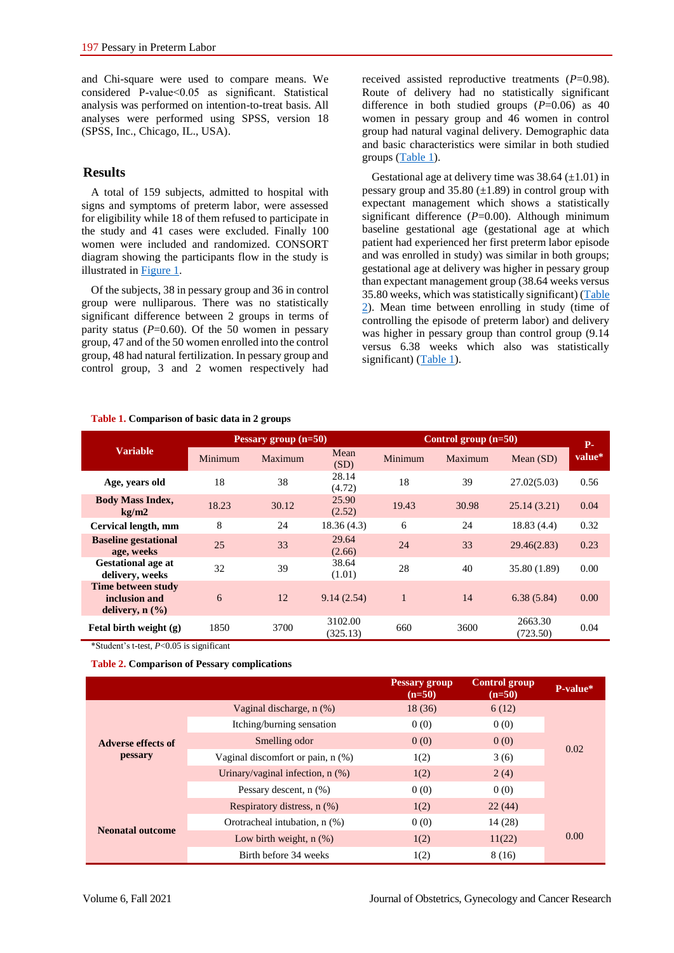and Chi-square were used to compare means. We considered P-value<0.05 as significant. Statistical analysis was performed on intention-to-treat basis. All analyses were performed using SPSS, version 18 (SPSS, Inc., Chicago, IL., USA).

### **Results**

A total of 159 subjects, admitted to hospital with signs and symptoms of preterm labor, were assessed for eligibility while 18 of them refused to participate in the study and 41 cases were excluded. Finally 100 women were included and randomized. CONSORT diagram showing the participants flow in the study is illustrated in [Figure 1.](#page-3-0) 

Of the subjects, 38 in pessary group and 36 in control group were nulliparous. There was no statistically significant difference between 2 groups in terms of parity status  $(P=0.60)$ . Of the 50 women in pessary group, 47 and of the 50 women enrolled into the control group, 48 had natural fertilization. In pessary group and control group, 3 and 2 women respectively had received assisted reproductive treatments (*P*=0.98). Route of delivery had no statistically significant difference in both studied groups (*P*=0.06) as 40 women in pessary group and 46 women in control group had natural vaginal delivery. Demographic data and basic characteristics were similar in both studied groups [\(Table 1\)](https://www.ncbi.nlm.nih.gov/pmc/articles/PMC3858694/table/T1/).

Gestational age at delivery time was  $38.64 \left(\pm 1.01\right)$  in pessary group and  $35.80 \ (\pm 1.89)$  in control group with expectant management which shows a statistically significant difference (*P*=0.00). Although minimum baseline gestational age (gestational age at which patient had experienced her first preterm labor episode and was enrolled in study) was similar in both groups; gestational age at delivery was higher in pessary group than expectant management group (38.64 weeks versus 35.80 weeks, which was statistically significant) [\(Table](#page-2-0)  [2\)](#page-2-0). Mean time between enrolling in study (time of controlling the episode of preterm labor) and delivery was higher in pessary group than control group (9.14 versus 6.38 weeks which also was statistically significant) [\(Table 1\)](#page-2-0).

| <b>Variable</b>                                                      | Pessary group $(n=50)$ |         |                     | Control group $(n=50)$ |         |                     | <b>P</b> - |
|----------------------------------------------------------------------|------------------------|---------|---------------------|------------------------|---------|---------------------|------------|
|                                                                      | Minimum                | Maximum | Mean<br>(SD)        | Minimum                | Maximum | Mean $(SD)$         | value*     |
| Age, years old                                                       | 18                     | 38      | 28.14<br>(4.72)     | 18                     | 39      | 27.02(5.03)         | 0.56       |
| <b>Body Mass Index,</b><br>kg/m2                                     | 18.23                  | 30.12   | 25.90<br>(2.52)     | 19.43                  | 30.98   | 25.14(3.21)         | 0.04       |
| Cervical length, mm                                                  | 8                      | 24      | 18.36(4.3)          | 6                      | 24      | 18.83(4.4)          | 0.32       |
| <b>Baseline gestational</b><br>age, weeks                            | 25                     | 33      | 29.64<br>(2.66)     | 24                     | 33      | 29.46(2.83)         | 0.23       |
| <b>Gestational age at</b><br>delivery, weeks                         | 32                     | 39      | 38.64<br>(1.01)     | 28                     | 40      | 35.80 (1.89)        | 0.00       |
| Time between study<br>inclusion and<br>delivery, $n$ $(\frac{9}{6})$ | 6                      | 12      | 9.14(2.54)          | $\mathbf{1}$           | 14      | 6.38(5.84)          | 0.00       |
| Fetal birth weight (g)                                               | 1850                   | 3700    | 3102.00<br>(325.13) | 660                    | 3600    | 2663.30<br>(723.50) | 0.04       |

#### **Table 1. Comparison of basic data in 2 groups**

\*Student's t-test, *P*<0.05 is significant

<span id="page-2-0"></span>**Table 2. Comparison of Pessary complications**

|                                      |                                    | Pessary group<br>$(n=50)$ | <b>Control group</b><br>$(n=50)$ | P-value* |  |
|--------------------------------------|------------------------------------|---------------------------|----------------------------------|----------|--|
| <b>Adverse effects of</b><br>pessary | Vaginal discharge, $n$ $(\%)$      | 18(36)                    | 6(12)                            |          |  |
|                                      | Itching/burning sensation          | 0(0)                      | 0(0)                             | 0.02     |  |
|                                      | Smelling odor                      | 0(0)                      | 0(0)                             |          |  |
|                                      | Vaginal discomfort or pain, n (%)  | 1(2)                      | 3(6)                             |          |  |
|                                      | Urinary/vaginal infection, $n$ (%) | 1(2)                      | 2(4)                             |          |  |
|                                      | Pessary descent, n (%)             | 0(0)                      | 0(0)                             |          |  |
| <b>Neonatal outcome</b>              | Respiratory distress, n (%)        | 1(2)                      | 22(44)                           |          |  |
|                                      | Orotracheal intubation, n (%)      | 0(0)                      | 14 (28)                          |          |  |
|                                      | Low birth weight, $n$ $(\%)$       | 1(2)                      | 11(22)                           | 0.00     |  |
|                                      | Birth before 34 weeks              | 1(2)                      | 8 (16)                           |          |  |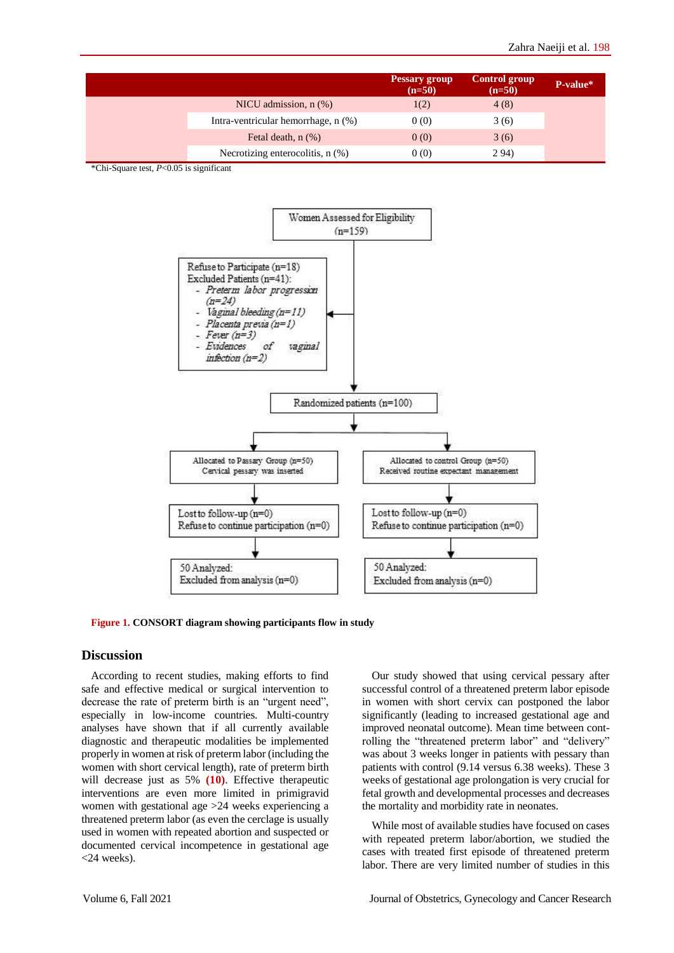|  |                                       | Pessary group<br>$(n=50)$ | Control group<br>$(n=50)$ | P-value* |
|--|---------------------------------------|---------------------------|---------------------------|----------|
|  | NICU admission, $n$ $%$ )             | 1(2)                      | 4(8)                      |          |
|  | Intra-ventricular hemorrhage, n (%)   | 0(0)                      | 3(6)                      |          |
|  | Fetal death, $n$ $(\%)$               | 0(0)                      | 3(6)                      |          |
|  | Necrotizing enterocolitis, $n$ $(\%)$ | 0(0)                      | 2 94)                     |          |

\*Chi-Square test, *P*<0.05 is significant



<span id="page-3-0"></span>**Figure 1. CONSORT diagram showing participants flow in study**

#### **Discussion**

According to recent studies, making efforts to find safe and effective medical or surgical intervention to decrease the rate of preterm birth is an "urgent need", especially in low-income countries. Multi-country analyses have shown that if all currently available diagnostic and therapeutic modalities be implemented properly in women at risk of preterm labor (including the women with short cervical length), rate of preterm birth will decrease just as 5% **(10)**. Effective therapeutic interventions are even more limited in primigravid women with gestational age >24 weeks experiencing a threatened preterm labor (as even the cerclage is usually used in women with repeated abortion and suspected or documented cervical incompetence in gestational age <24 weeks).

Our study showed that using cervical pessary after successful control of a threatened preterm labor episode in women with short cervix can postponed the labor significantly (leading to increased gestational age and improved neonatal outcome). Mean time between controlling the "threatened preterm labor" and "delivery" was about 3 weeks longer in patients with pessary than patients with control (9.14 versus 6.38 weeks). These 3 weeks of gestational age prolongation is very crucial for fetal growth and developmental processes and decreases the mortality and morbidity rate in neonates.

While most of available studies have focused on cases with repeated preterm labor/abortion, we studied the cases with treated first episode of threatened preterm labor. There are very limited number of studies in this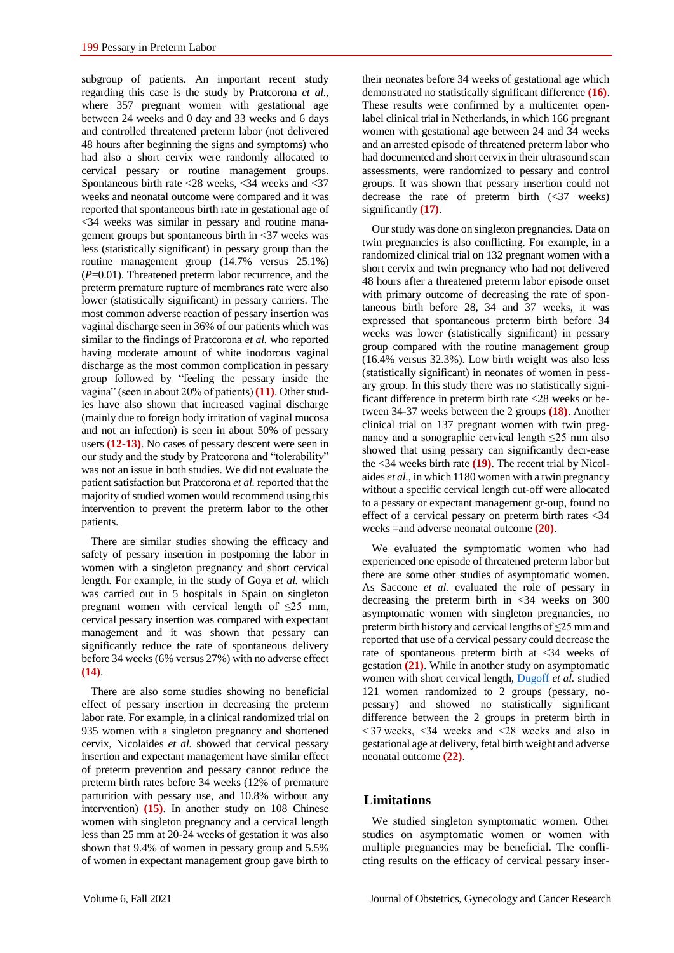subgroup of patients. An important recent study regarding this case is the study by Pratcorona *et al.,*  where 357 pregnant women with gestational age between 24 weeks and 0 day and 33 weeks and 6 days and controlled threatened preterm labor (not delivered 48 hours after beginning the signs and symptoms) who had also a short cervix were randomly allocated to cervical pessary or routine management groups. Spontaneous birth rate <28 weeks, <34 weeks and <37 weeks and neonatal outcome were compared and it was reported that spontaneous birth rate in gestational age of <34 weeks was similar in pessary and routine management groups but spontaneous birth in <37 weeks was less (statistically significant) in pessary group than the routine management group (14.7% versus 25.1%) (*P*=0.01). Threatened preterm labor recurrence, and the preterm premature rupture of membranes rate were also lower (statistically significant) in pessary carriers. The most common adverse reaction of pessary insertion was vaginal discharge seen in 36% of our patients which was similar to the findings of Pratcorona *et al.* who reported having moderate amount of white inodorous vaginal discharge as the most common complication in pessary group followed by "feeling the pessary inside the vagina" (seen in about 20% of patients) **(11)**. Other studies have also shown that increased vaginal discharge (mainly due to foreign body irritation of vaginal mucosa and not an infection) is seen in about 50% of pessary users **(12-13)**. No cases of pessary descent were seen in our study and the study by Pratcorona and "tolerability" was not an issue in both studies. We did not evaluate the patient satisfaction but Pratcorona *et al.* reported that the majority of studied women would recommend using this intervention to prevent the preterm labor to the other patients.

There are similar studies showing the efficacy and safety of pessary insertion in postponing the labor in women with a singleton pregnancy and short cervical length. For example, in the study of Goya *et al.* which was carried out in 5 hospitals in Spain on singleton pregnant women with cervical length of  $\leq 25$  mm. cervical pessary insertion was compared with expectant management and it was shown that pessary can significantly reduce the rate of spontaneous delivery before 34 weeks (6% versus 27%) with no adverse effect **(14)**.

There are also some studies showing no beneficial effect of pessary insertion in decreasing the preterm labor rate. For example, in a clinical randomized trial on 935 women with a singleton pregnancy and shortened cervix, Nicolaides *et al.* showed that cervical pessary insertion and expectant management have similar effect of preterm prevention and pessary cannot reduce the preterm birth rates before 34 weeks (12% of premature parturition with pessary use, and 10.8% without any intervention) **(15)**. In another study on 108 Chinese women with singleton pregnancy and a cervical length less than 25 mm at 20-24 weeks of gestation it was also shown that 9.4% of women in pessary group and 5.5% of women in expectant management group gave birth to

their neonates before 34 weeks of gestational age which demonstrated no statistically significant difference **(16)**. These results were confirmed by a multicenter openlabel clinical trial in Netherlands, in which 166 pregnant women with gestational age between 24 and 34 weeks and an arrested episode of threatened preterm labor who had documented and short cervix in their ultrasound scan assessments, were randomized to pessary and control groups. It was shown that pessary insertion could not decrease the rate of preterm birth  $\left(\frac{37}{2}\right)$  weeks) significantly **(17)**.

Our study was done on singleton pregnancies. Data on twin pregnancies is also conflicting. For example, in a randomized clinical trial on 132 pregnant women with a short cervix and twin pregnancy who had not delivered 48 hours after a threatened preterm labor episode onset with primary outcome of decreasing the rate of spontaneous birth before 28, 34 and 37 weeks, it was expressed that spontaneous preterm birth before 34 weeks was lower (statistically significant) in pessary group compared with the routine management group (16.4% versus 32.3%). Low birth weight was also less (statistically significant) in neonates of women in pessary group. In this study there was no statistically significant difference in preterm birth rate <28 weeks or between 34-37 weeks between the 2 groups **(18)**. Another clinical trial on 137 pregnant women with twin pregnancy and a sonographic cervical length ≤25 mm also showed that using pessary can significantly decr-ease the <34 weeks birth rate **(19)**. The recent trial by Nicolaides *et al.*, in which 1180 women with a twin pregnancy without a specific cervical length cut-off were allocated to a pessary or expectant management gr-oup, found no effect of a cervical pessary on preterm birth rates <34 weeks =and adverse neonatal outcome **(20)**.

We evaluated the symptomatic women who had experienced one episode of threatened preterm labor but there are some other studies of asymptomatic women. As Saccone *et al.* evaluated the role of pessary in decreasing the preterm birth in <34 weeks on 300 asymptomatic women with singleton pregnancies, no preterm birth history and cervical lengths of ≤25 mm and reported that use of a cervical pessary could decrease the rate of spontaneous preterm birth at <34 weeks of gestation **(21)**. While in another study on asymptomatic women with short cervical length, [Dugoff](https://obgyn.onlinelibrary.wiley.com/action/doSearch?ContribAuthorStored=Dugoff%2C+L) *et al.* studied 121 women randomized to 2 groups (pessary, nopessary) and showed no statistically significant difference between the 2 groups in preterm birth in < 37 weeks, <34 weeks and <28 weeks and also in gestational age at delivery, fetal birth weight and adverse neonatal outcome **(22)**.

## **Limitations**

We studied singleton symptomatic women. Other studies on asymptomatic women or women with multiple pregnancies may be beneficial. The conflicting results on the efficacy of cervical pessary inser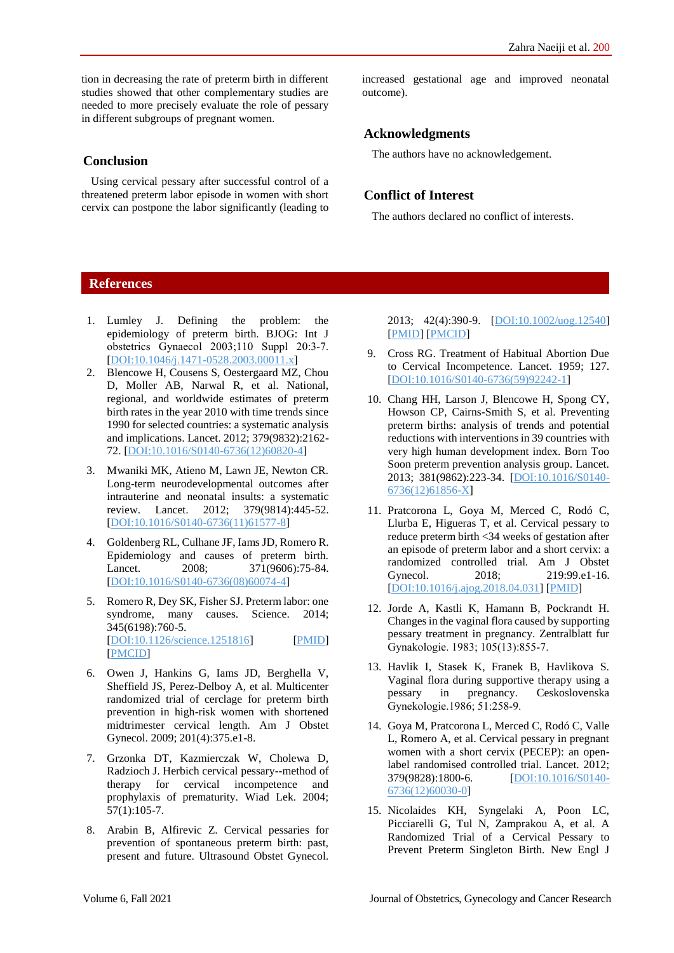tion in decreasing the rate of preterm birth in different studies showed that other complementary studies are needed to more precisely evaluate the role of pessary in different subgroups of pregnant women.

## **Conclusion**

Using cervical pessary after successful control of a threatened preterm labor episode in women with short cervix can postpone the labor significantly (leading to

increased gestational age and improved neonatal outcome).

# **Acknowledgments**

The authors have no acknowledgement.

# **Conflict of Interest**

The authors declared no conflict of interests.

# **References**

- 1. Lumley J. Defining the problem: the epidemiology of preterm birth. BJOG: Int J obstetrics Gynaecol 2003;110 Suppl 20:3‐7. [\[DOI:10.1046/j.1471-0528.2003.00011.x\]](https://doi.org/10.1046/j.1471-0528.2003.00011.x)
- 2. Blencowe H, Cousens S, Oestergaard MZ, Chou D, Moller AB, Narwal R, et al. National, regional, and worldwide estimates of preterm birth rates in the year 2010 with time trends since 1990 for selected countries: a systematic analysis and implications. Lancet. 2012; 379(9832):2162- 72. [\[DOI:10.1016/S0140-6736\(12\)60820-4\]](https://doi.org/10.1016/S0140-6736(12)60820-4)
- 3. Mwaniki MK, Atieno M, Lawn JE, Newton CR. Long-term neurodevelopmental outcomes after intrauterine and neonatal insults: a systematic review. Lancet. 2012; 379(9814):445-52. [\[DOI:10.1016/S0140-6736\(11\)61577-8\]](https://doi.org/10.1016/S0140-6736(11)61577-8)
- 4. Goldenberg RL, Culhane JF, Iams JD, Romero R. Epidemiology and causes of preterm birth. Lancet. 2008; 371(9606):75-84. [\[DOI:10.1016/S0140-6736\(08\)60074-4\]](https://doi.org/10.1016/S0140-6736(08)60074-4)
- 5. Romero R, Dey SK, Fisher SJ. Preterm labor: one syndrome, many causes. Science. 2014; 345(6198):760-5. [\[DOI:10.1126/science.1251816\]](https://doi.org/10.1126/science.1251816) [\[PMID\]](https://www.ncbi.nlm.nih.gov/pubmed/25124429) [\[PMCID\]](http://www.ncbi.nlm.nih.gov/pmc/articles/PMC4191866)
- 6. Owen J, Hankins G, Iams JD, Berghella V, Sheffield JS, Perez-Delboy A, et al. Multicenter randomized trial of cerclage for preterm birth prevention in high-risk women with shortened midtrimester cervical length. Am J Obstet Gynecol. 2009; 201(4):375.e1-8.
- 7. Grzonka DT, Kazmierczak W, Cholewa D, Radzioch J. Herbich cervical pessary--method of therapy for cervical incompetence and prophylaxis of prematurity. Wiad Lek. 2004; 57(1):105-7.
- 8. Arabin B, Alfirevic Z. Cervical pessaries for prevention of spontaneous preterm birth: past, present and future. Ultrasound Obstet Gynecol.

2013; 42(4):390-9. [\[DOI:10.1002/uog.12540\]](https://doi.org/10.1002/uog.12540) [\[PMID\]](https://www.ncbi.nlm.nih.gov/pubmed/23775862) [\[PMCID\]](http://www.ncbi.nlm.nih.gov/pmc/articles/PMC4282542)

- 9. Cross RG. Treatment of Habitual Abortion Due to Cervical Incompetence. Lancet. 1959; 127. [\[DOI:10.1016/S0140-6736\(59\)92242-1\]](https://doi.org/10.1016/S0140-6736(59)92242-1)
- 10. Chang HH, Larson J, Blencowe H, Spong CY, Howson CP, Cairns-Smith S, et al. Preventing preterm births: analysis of trends and potential reductions with interventions in 39 countries with very high human development index. Born Too Soon preterm prevention analysis group. Lancet. 2013; 381(9862):223-34. [\[DOI:10.1016/S0140-](https://doi.org/10.1016/S0140-6736(12)61856-X) [6736\(12\)61856-X\]](https://doi.org/10.1016/S0140-6736(12)61856-X)
- 11. Pratcorona L, Goya M, Merced C, Rodó C, Llurba E, Higueras T, et al. Cervical pessary to reduce preterm birth <34 weeks of gestation after an episode of preterm labor and a short cervix: a randomized controlled trial. Am J Obstet Gynecol. 2018; 219:99.e1-16. [\[DOI:10.1016/j.ajog.2018.04.031\]](https://doi.org/10.1016/j.ajog.2018.04.031) [\[PMID\]](https://www.ncbi.nlm.nih.gov/pubmed/29704487)
- 12. Jorde A, Kastli K, Hamann B, Pockrandt H. Changes in the vaginal flora caused by supporting pessary treatment in pregnancy. Zentralblatt fur Gynakologie. 1983; 105(13):855‐7.
- 13. Havlik I, Stasek K, Franek B, Havlikova S. Vaginal flora during supportive therapy using a pessary in pregnancy. Ceskoslovenska Gynekologie.1986; 51:258‐9.
- 14. Goya M, Pratcorona L, Merced C, Rodó C, Valle L, Romero A, et al. Cervical pessary in pregnant women with a short cervix (PECEP): an openlabel randomised controlled trial. Lancet. 2012; 379(9828):1800-6. [\[DOI:10.1016/S0140-](https://doi.org/10.1016/S0140-6736(12)60030-0) [6736\(12\)60030-0\]](https://doi.org/10.1016/S0140-6736(12)60030-0)
- 15. Nicolaides KH, Syngelaki A, Poon LC, Picciarelli G, Tul N, Zamprakou A, et al. A Randomized Trial of a Cervical Pessary to Prevent Preterm Singleton Birth. New Engl J